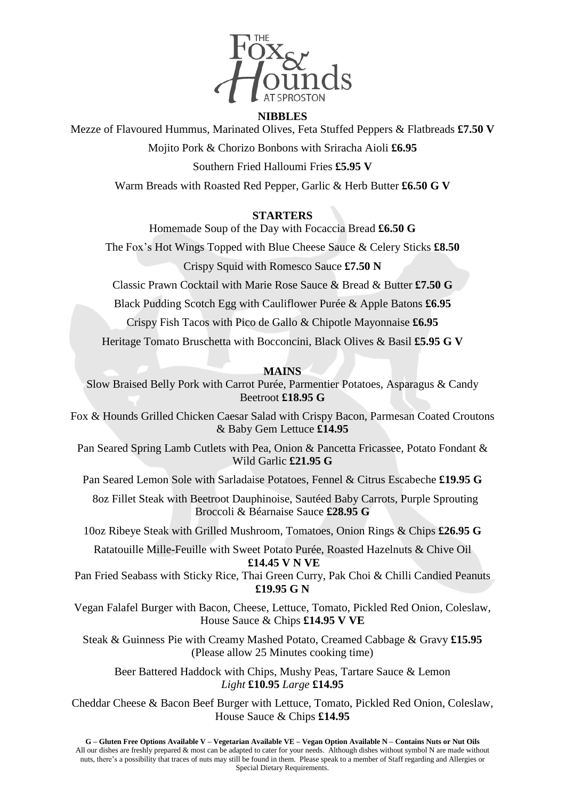

## **NIBBLES**

Mezze of Flavoured Hummus, Marinated Olives, Feta Stuffed Peppers & Flatbreads **£7.50 V**

Mojito Pork & Chorizo Bonbons with Sriracha Aioli **£6.95**

Southern Fried Halloumi Fries **£5.95 V**

Warm Breads with Roasted Red Pepper, Garlic & Herb Butter **£6.50 G V**

## **STARTERS**

Homemade Soup of the Day with Focaccia Bread **£6.50 G**

The Fox's Hot Wings Topped with Blue Cheese Sauce & Celery Sticks **£8.50**

Crispy Squid with Romesco Sauce **£7.50 N**

Classic Prawn Cocktail with Marie Rose Sauce & Bread & Butter **£7.50 G**

Black Pudding Scotch Egg with Cauliflower Purée & Apple Batons **£6.95**

Crispy Fish Tacos with Pico de Gallo & Chipotle Mayonnaise **£6.95**

Heritage Tomato Bruschetta with Bocconcini, Black Olives & Basil **£5.95 G V**

## **MAINS**

Slow Braised Belly Pork with Carrot Purée, Parmentier Potatoes, Asparagus & Candy Beetroot **£18.95 G**

Fox & Hounds Grilled Chicken Caesar Salad with Crispy Bacon, Parmesan Coated Croutons & Baby Gem Lettuce **£14.95**

Pan Seared Spring Lamb Cutlets with Pea, Onion & Pancetta Fricassee, Potato Fondant & Wild Garlic **£21.95 G**

Pan Seared Lemon Sole with Sarladaise Potatoes, Fennel & Citrus Escabeche **£19.95 G**

 8oz Fillet Steak with Beetroot Dauphinoise, Sautéed Baby Carrots, Purple Sprouting Broccoli & Béarnaise Sauce **£28.95 G**

10oz Ribeye Steak with Grilled Mushroom, Tomatoes, Onion Rings & Chips **£26.95 G**

Ratatouille Mille-Feuille with Sweet Potato Purée, Roasted Hazelnuts & Chive Oil **£14.45 V N VE**

Pan Fried Seabass with Sticky Rice, Thai Green Curry, Pak Choi & Chilli Candied Peanuts **£19.95 G N**

Vegan Falafel Burger with Bacon, Cheese, Lettuce, Tomato, Pickled Red Onion, Coleslaw, House Sauce & Chips **£14.95 V VE**

Steak & Guinness Pie with Creamy Mashed Potato, Creamed Cabbage & Gravy **£15.95** (Please allow 25 Minutes cooking time)

Beer Battered Haddock with Chips, Mushy Peas, Tartare Sauce & Lemon *Light* **£10.95** *Large* **£14.95**

Cheddar Cheese & Bacon Beef Burger with Lettuce, Tomato, Pickled Red Onion, Coleslaw, House Sauce & Chips **£14.95**

G - Gluten Free Options Available V - Vegetarian Available VE - Vegan Option Available N - Contains Nuts or Nut Oils All our dishes are freshly prepared & most can be adapted to cater for your needs. Although dishes without symbol N are made without nuts, there's a possibility that traces of nuts may still be found in them. Please speak to a member of Staff regarding and Allergies or Special Dietary Requirements.